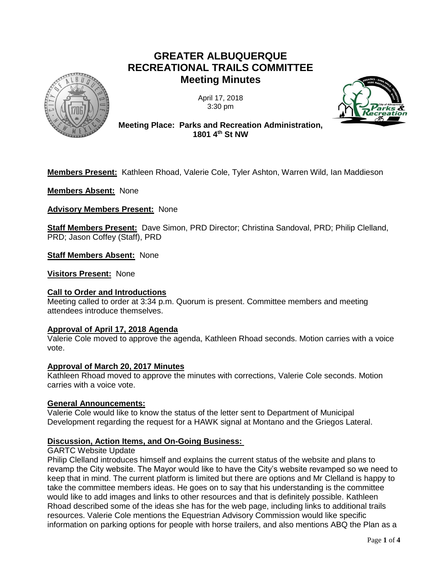# **GREATER ALBUQUERQUE RECREATIONAL TRAILS COMMITTEE Meeting Minutes**



April 17, 2018 3:30 pm



**Meeting Place: Parks and Recreation Administration, 1801 4th St NW**

**Members Present:** Kathleen Rhoad, Valerie Cole, Tyler Ashton, Warren Wild, Ian Maddieson

**Members Absent:** None

**Advisory Members Present:** None

**Staff Members Present:** Dave Simon, PRD Director; Christina Sandoval, PRD; Philip Clelland, PRD; Jason Coffey (Staff), PRD

**Staff Members Absent:** None

**Visitors Present:** None

# **Call to Order and Introductions**

Meeting called to order at 3:34 p.m. Quorum is present. Committee members and meeting attendees introduce themselves.

# **Approval of April 17, 2018 Agenda**

Valerie Cole moved to approve the agenda, Kathleen Rhoad seconds. Motion carries with a voice vote.

# **Approval of March 20, 2017 Minutes**

Kathleen Rhoad moved to approve the minutes with corrections, Valerie Cole seconds. Motion carries with a voice vote.

# **General Announcements:**

Valerie Cole would like to know the status of the letter sent to Department of Municipal Development regarding the request for a HAWK signal at Montano and the Griegos Lateral.

# **Discussion, Action Items, and On-Going Business:**

# GARTC Website Update

Philip Clelland introduces himself and explains the current status of the website and plans to revamp the City website. The Mayor would like to have the City's website revamped so we need to keep that in mind. The current platform is limited but there are options and Mr Clelland is happy to take the committee members ideas. He goes on to say that his understanding is the committee would like to add images and links to other resources and that is definitely possible. Kathleen Rhoad described some of the ideas she has for the web page, including links to additional trails resources. Valerie Cole mentions the Equestrian Advisory Commission would like specific information on parking options for people with horse trailers, and also mentions ABQ the Plan as a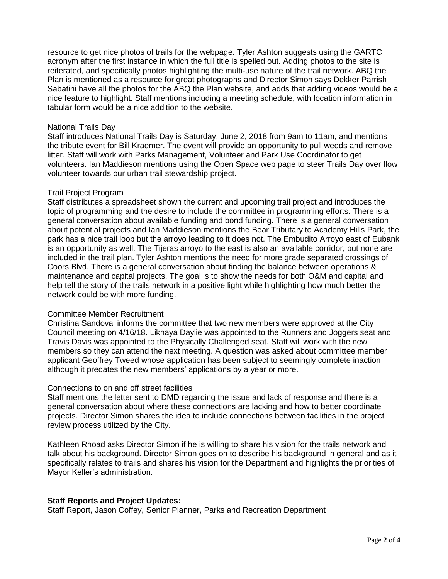resource to get nice photos of trails for the webpage. Tyler Ashton suggests using the GARTC acronym after the first instance in which the full title is spelled out. Adding photos to the site is reiterated, and specifically photos highlighting the multi-use nature of the trail network. ABQ the Plan is mentioned as a resource for great photographs and Director Simon says Dekker Parrish Sabatini have all the photos for the ABQ the Plan website, and adds that adding videos would be a nice feature to highlight. Staff mentions including a meeting schedule, with location information in tabular form would be a nice addition to the website.

## National Trails Day

Staff introduces National Trails Day is Saturday, June 2, 2018 from 9am to 11am, and mentions the tribute event for Bill Kraemer. The event will provide an opportunity to pull weeds and remove litter. Staff will work with Parks Management, Volunteer and Park Use Coordinator to get volunteers. Ian Maddieson mentions using the Open Space web page to steer Trails Day over flow volunteer towards our urban trail stewardship project.

## Trail Project Program

Staff distributes a spreadsheet shown the current and upcoming trail project and introduces the topic of programming and the desire to include the committee in programming efforts. There is a general conversation about available funding and bond funding. There is a general conversation about potential projects and Ian Maddieson mentions the Bear Tributary to Academy Hills Park, the park has a nice trail loop but the arroyo leading to it does not. The Embudito Arroyo east of Eubank is an opportunity as well. The Tijeras arroyo to the east is also an available corridor, but none are included in the trail plan. Tyler Ashton mentions the need for more grade separated crossings of Coors Blvd. There is a general conversation about finding the balance between operations & maintenance and capital projects. The goal is to show the needs for both O&M and capital and help tell the story of the trails network in a positive light while highlighting how much better the network could be with more funding.

# Committee Member Recruitment

Christina Sandoval informs the committee that two new members were approved at the City Council meeting on 4/16/18. Likhaya Daylie was appointed to the Runners and Joggers seat and Travis Davis was appointed to the Physically Challenged seat. Staff will work with the new members so they can attend the next meeting. A question was asked about committee member applicant Geoffrey Tweed whose application has been subject to seemingly complete inaction although it predates the new members' applications by a year or more.

#### Connections to on and off street facilities

Staff mentions the letter sent to DMD regarding the issue and lack of response and there is a general conversation about where these connections are lacking and how to better coordinate projects. Director Simon shares the idea to include connections between facilities in the project review process utilized by the City.

Kathleen Rhoad asks Director Simon if he is willing to share his vision for the trails network and talk about his background. Director Simon goes on to describe his background in general and as it specifically relates to trails and shares his vision for the Department and highlights the priorities of Mayor Keller's administration.

# **Staff Reports and Project Updates:**

Staff Report, Jason Coffey, Senior Planner, Parks and Recreation Department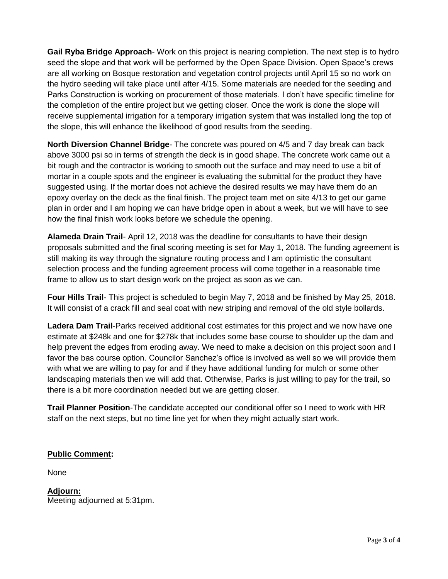**Gail Ryba Bridge Approach**- Work on this project is nearing completion. The next step is to hydro seed the slope and that work will be performed by the Open Space Division. Open Space's crews are all working on Bosque restoration and vegetation control projects until April 15 so no work on the hydro seeding will take place until after 4/15. Some materials are needed for the seeding and Parks Construction is working on procurement of those materials. I don't have specific timeline for the completion of the entire project but we getting closer. Once the work is done the slope will receive supplemental irrigation for a temporary irrigation system that was installed long the top of the slope, this will enhance the likelihood of good results from the seeding.

**North Diversion Channel Bridge**- The concrete was poured on 4/5 and 7 day break can back above 3000 psi so in terms of strength the deck is in good shape. The concrete work came out a bit rough and the contractor is working to smooth out the surface and may need to use a bit of mortar in a couple spots and the engineer is evaluating the submittal for the product they have suggested using. If the mortar does not achieve the desired results we may have them do an epoxy overlay on the deck as the final finish. The project team met on site 4/13 to get our game plan in order and I am hoping we can have bridge open in about a week, but we will have to see how the final finish work looks before we schedule the opening.

**Alameda Drain Trail**- April 12, 2018 was the deadline for consultants to have their design proposals submitted and the final scoring meeting is set for May 1, 2018. The funding agreement is still making its way through the signature routing process and I am optimistic the consultant selection process and the funding agreement process will come together in a reasonable time frame to allow us to start design work on the project as soon as we can.

**Four Hills Trail**- This project is scheduled to begin May 7, 2018 and be finished by May 25, 2018. It will consist of a crack fill and seal coat with new striping and removal of the old style bollards.

**Ladera Dam Trail**-Parks received additional cost estimates for this project and we now have one estimate at \$248k and one for \$278k that includes some base course to shoulder up the dam and help prevent the edges from eroding away. We need to make a decision on this project soon and I favor the bas course option. Councilor Sanchez's office is involved as well so we will provide them with what we are willing to pay for and if they have additional funding for mulch or some other landscaping materials then we will add that. Otherwise, Parks is just willing to pay for the trail, so there is a bit more coordination needed but we are getting closer.

**Trail Planner Position**-The candidate accepted our conditional offer so I need to work with HR staff on the next steps, but no time line yet for when they might actually start work.

# **Public Comment:**

None

**Adjourn:** Meeting adjourned at 5:31pm.